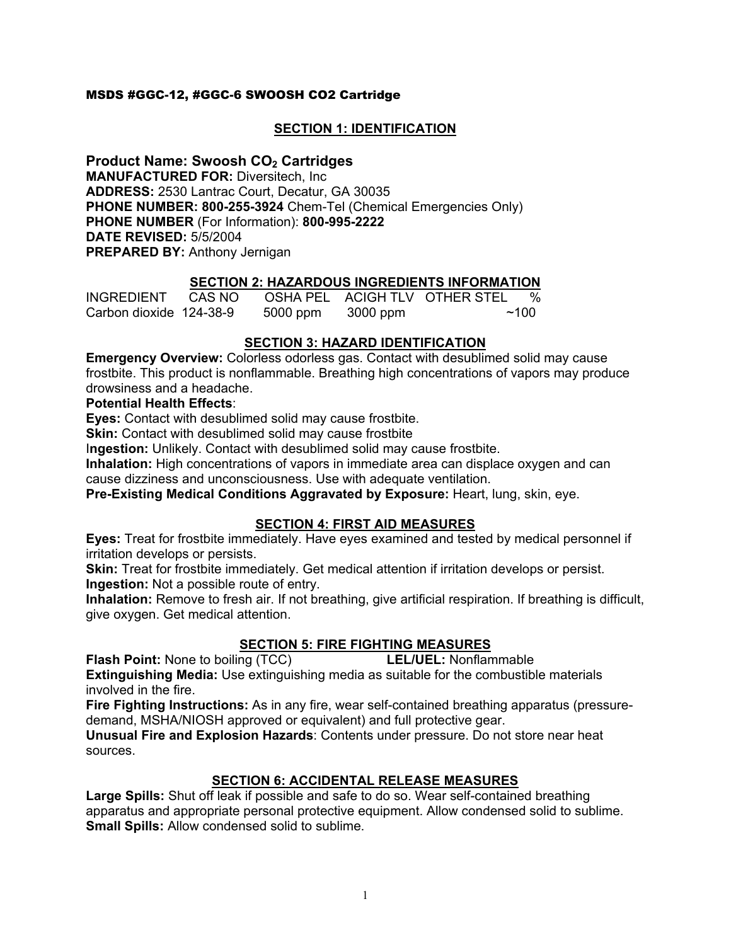# MSDS #GGC-12, #GGC-6 SWOOSH CO2 Cartridge

# **SECTION 1: IDENTIFICATION**

**Product Name: Swoosh CO<sub>2</sub> Cartridges MANUFACTURED FOR:** Diversitech, Inc **ADDRESS:** 2530 Lantrac Court, Decatur, GA 30035 **PHONE NUMBER: 800-255-3924** Chem-Tel (Chemical Emergencies Only) **PHONE NUMBER** (For Information): **800-995-2222 DATE REVISED:** 5/5/2004 **PREPARED BY:** Anthony Jernigan

# **SECTION 2: HAZARDOUS INGREDIENTS INFORMATION**

| <b>INGREDIENT</b>       | CAS NO |          |          | OSHA PEL ACIGH TLV OTHER STEL | $\%$ |
|-------------------------|--------|----------|----------|-------------------------------|------|
| Carbon dioxide 124-38-9 |        | 5000 ppm | 3000 ppm |                               | ~100 |

# **SECTION 3: HAZARD IDENTIFICATION**

**Emergency Overview:** Colorless odorless gas. Contact with desublimed solid may cause frostbite. This product is nonflammable. Breathing high concentrations of vapors may produce drowsiness and a headache.

#### **Potential Health Effects**:

**Eyes:** Contact with desublimed solid may cause frostbite.

**Skin:** Contact with desublimed solid may cause frostbite

I**ngestion:** Unlikely. Contact with desublimed solid may cause frostbite.

**Inhalation:** High concentrations of vapors in immediate area can displace oxygen and can cause dizziness and unconsciousness. Use with adequate ventilation.

**Pre-Existing Medical Conditions Aggravated by Exposure:** Heart, lung, skin, eye.

# **SECTION 4: FIRST AID MEASURES**

**Eyes:** Treat for frostbite immediately. Have eyes examined and tested by medical personnel if irritation develops or persists.

**Skin:** Treat for frostbite immediately. Get medical attention if irritation develops or persist. **Ingestion:** Not a possible route of entry.

**Inhalation:** Remove to fresh air. If not breathing, give artificial respiration. If breathing is difficult, give oxygen. Get medical attention.

# **SECTION 5: FIRE FIGHTING MEASURES**

**Flash Point:** None to boiling (TCC) **LEL/UEL:** Nonflammable

**Extinguishing Media:** Use extinguishing media as suitable for the combustible materials involved in the fire.

**Fire Fighting Instructions:** As in any fire, wear self-contained breathing apparatus (pressuredemand, MSHA/NIOSH approved or equivalent) and full protective gear.

**Unusual Fire and Explosion Hazards**: Contents under pressure. Do not store near heat sources.

# **SECTION 6: ACCIDENTAL RELEASE MEASURES**

**Large Spills:** Shut off leak if possible and safe to do so. Wear self-contained breathing apparatus and appropriate personal protective equipment. Allow condensed solid to sublime. **Small Spills:** Allow condensed solid to sublime.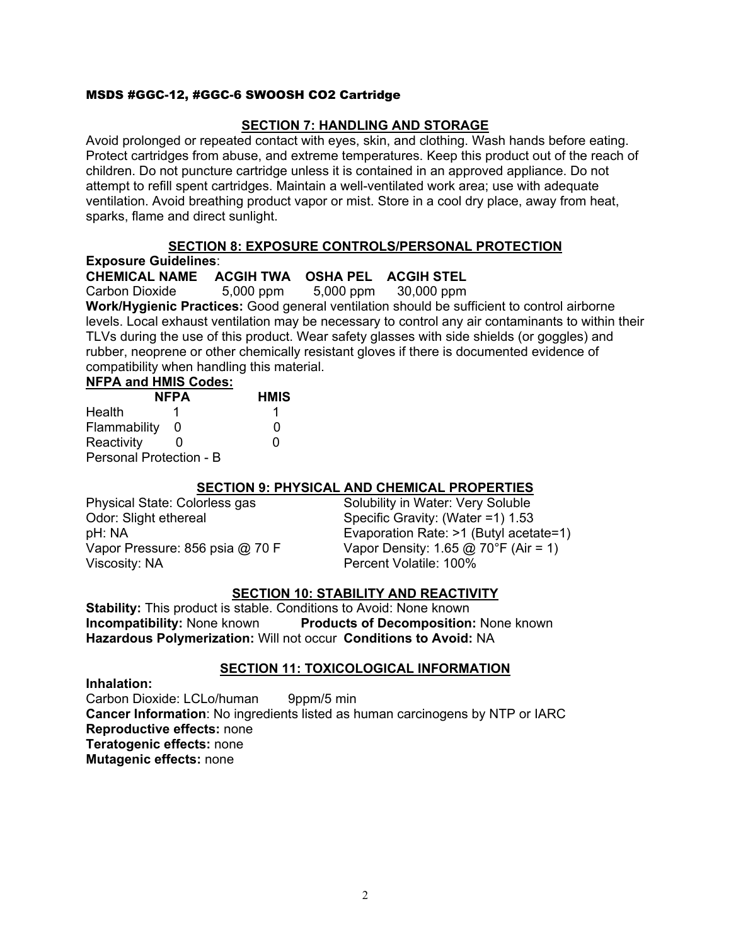### MSDS #GGC-12, #GGC-6 SWOOSH CO2 Cartridge

## **SECTION 7: HANDLING AND STORAGE**

Avoid prolonged or repeated contact with eyes, skin, and clothing. Wash hands before eating. Protect cartridges from abuse, and extreme temperatures. Keep this product out of the reach of children. Do not puncture cartridge unless it is contained in an approved appliance. Do not attempt to refill spent cartridges. Maintain a well-ventilated work area; use with adequate ventilation. Avoid breathing product vapor or mist. Store in a cool dry place, away from heat, sparks, flame and direct sunlight.

### **SECTION 8: EXPOSURE CONTROLS/PERSONAL PROTECTION**

**Exposure Guidelines**:

**CHEMICAL NAME ACGIH TWA OSHA PEL ACGIH STEL** 

Carbon Dioxide 5,000 ppm 5,000 ppm 30,000 ppm

**Work/Hygienic Practices:** Good general ventilation should be sufficient to control airborne levels. Local exhaust ventilation may be necessary to control any air contaminants to within their TLVs during the use of this product. Wear safety glasses with side shields (or goggles) and rubber, neoprene or other chemically resistant gloves if there is documented evidence of compatibility when handling this material.

#### **NFPA and HMIS Codes:**

| <b>NFPA</b>                    |   | <b>HMIS</b> |  |  |
|--------------------------------|---|-------------|--|--|
| Health                         |   |             |  |  |
| Flammability                   | O | 0           |  |  |
| Reactivity                     |   | 0           |  |  |
| <b>Personal Protection - B</b> |   |             |  |  |

# **SECTION 9: PHYSICAL AND CHEMICAL PROPERTIES**

Odor: Slight ethereal Specific Gravity: (Water =1) 1.53 Viscosity: NA Percent Volatile: 100%

Physical State: Colorless gas Solubility in Water: Very Soluble pH: NA Evaporation Rate: >1 (Butyl acetate=1) Vapor Pressure: 856 psia  $\omega$  70 F Vapor Density: 1.65  $\omega$  70°F (Air = 1)

# **SECTION 10: STABILITY AND REACTIVITY**

**Stability:** This product is stable. Conditions to Avoid: None known **Incompatibility:** None known **Products of Decomposition:** None known **Hazardous Polymerization:** Will not occur **Conditions to Avoid:** NA

#### **SECTION 11: TOXICOLOGICAL INFORMATION**

**Inhalation:** 

Carbon Dioxide: LCLo/human 9ppm/5 min **Cancer Information**: No ingredients listed as human carcinogens by NTP or IARC **Reproductive effects:** none **Teratogenic effects:** none **Mutagenic effects:** none